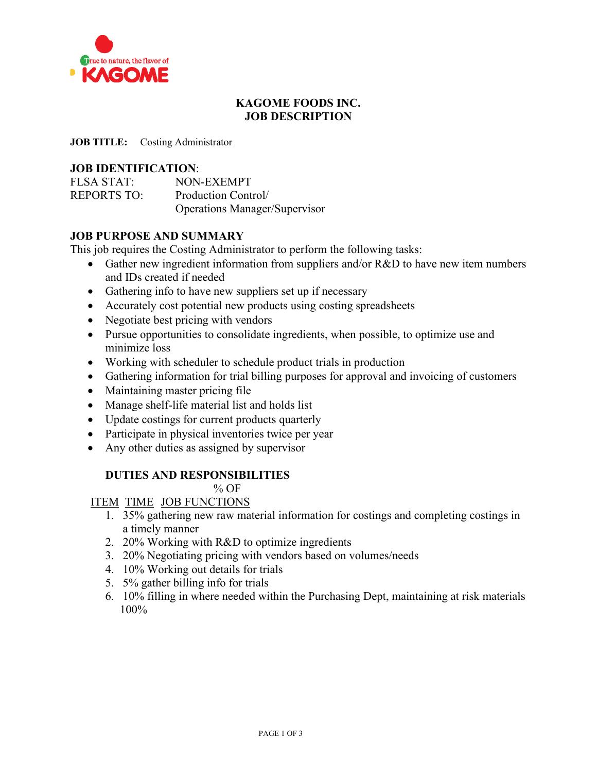

# **KAGOME FOODS INC. JOB DESCRIPTION**

**JOB TITLE:** Costing Administrator

## **JOB IDENTIFICATION**:

| <b>FLSA STAT:</b>  | NON-EXEMPT                           |
|--------------------|--------------------------------------|
| <b>REPORTS TO:</b> | Production Control/                  |
|                    | <b>Operations Manager/Supervisor</b> |

## **JOB PURPOSE AND SUMMARY**

This job requires the Costing Administrator to perform the following tasks:

- Gather new ingredient information from suppliers and/or R&D to have new item numbers and IDs created if needed
- Gathering info to have new suppliers set up if necessary
- Accurately cost potential new products using costing spreadsheets
- Negotiate best pricing with vendors
- Pursue opportunities to consolidate ingredients, when possible, to optimize use and minimize loss
- Working with scheduler to schedule product trials in production
- Gathering information for trial billing purposes for approval and invoicing of customers
- Maintaining master pricing file
- Manage shelf-life material list and holds list
- Update costings for current products quarterly
- Participate in physical inventories twice per year
- Any other duties as assigned by supervisor

## **DUTIES AND RESPONSIBILITIES**

 $%$  OF

ITEM TIME JOB FUNCTIONS

- 1. 35% gathering new raw material information for costings and completing costings in a timely manner
- 2. 20% Working with R&D to optimize ingredients
- 3. 20% Negotiating pricing with vendors based on volumes/needs
- 4. 10% Working out details for trials
- 5. 5% gather billing info for trials
- 6. 10% filling in where needed within the Purchasing Dept, maintaining at risk materials 100%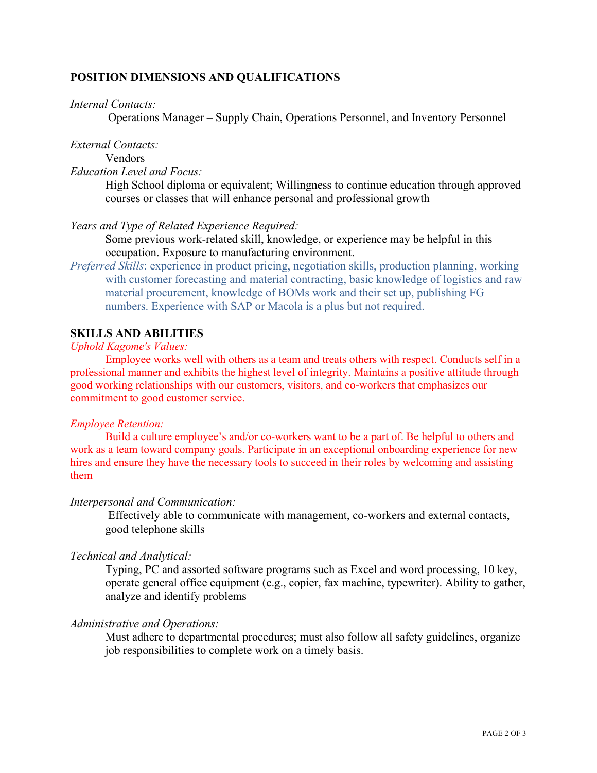## **POSITION DIMENSIONS AND QUALIFICATIONS**

### *Internal Contacts:*

Operations Manager – Supply Chain, Operations Personnel, and Inventory Personnel

### *External Contacts:*

Vendors

# *Education Level and Focus:*

High School diploma or equivalent; Willingness to continue education through approved courses or classes that will enhance personal and professional growth

*Years and Type of Related Experience Required:*

Some previous work-related skill, knowledge, or experience may be helpful in this occupation. Exposure to manufacturing environment.

*Preferred Skills*: experience in product pricing, negotiation skills, production planning, working with customer forecasting and material contracting, basic knowledge of logistics and raw material procurement, knowledge of BOMs work and their set up, publishing FG numbers. Experience with SAP or Macola is a plus but not required.

### **SKILLS AND ABILITIES**

#### *Uphold Kagome's Values:*

Employee works well with others as a team and treats others with respect. Conducts self in a professional manner and exhibits the highest level of integrity. Maintains a positive attitude through good working relationships with our customers, visitors, and co-workers that emphasizes our commitment to good customer service.

### *Employee Retention:*

Build a culture employee's and/or co-workers want to be a part of. Be helpful to others and work as a team toward company goals. Participate in an exceptional onboarding experience for new hires and ensure they have the necessary tools to succeed in their roles by welcoming and assisting them

### *Interpersonal and Communication:*

Effectively able to communicate with management, co-workers and external contacts, good telephone skills

### *Technical and Analytical:*

Typing, PC and assorted software programs such as Excel and word processing, 10 key, operate general office equipment (e.g., copier, fax machine, typewriter). Ability to gather, analyze and identify problems

### *Administrative and Operations:*

Must adhere to departmental procedures; must also follow all safety guidelines, organize job responsibilities to complete work on a timely basis.